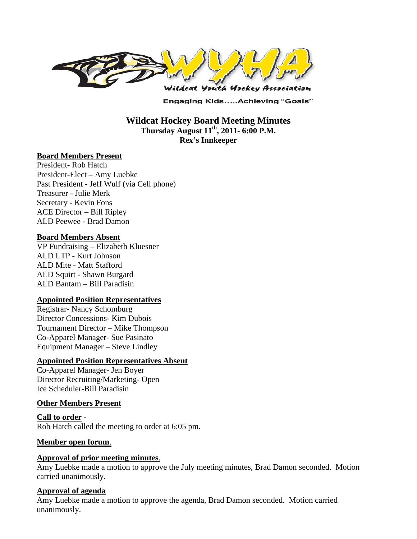

**Engaging Kids.....Achieving "Goals"** 

## **Wildcat Hockey Board Meeting Minutes Thursday August 11th, 2011- 6:00 P.M. Rex's Innkeeper**

#### **Board Members Present**

President- Rob Hatch President-Elect – Amy Luebke Past President - Jeff Wulf (via Cell phone) Treasurer - Julie Merk Secretary - Kevin Fons ACE Director – Bill Ripley ALD Peewee - Brad Damon

#### **Board Members Absent**

VP Fundraising – Elizabeth Kluesner ALD LTP - Kurt Johnson ALD Mite - Matt Stafford ALD Squirt - Shawn Burgard ALD Bantam – Bill Paradisin

#### **Appointed Position Representatives**

Registrar- Nancy Schomburg Director Concessions- Kim Dubois Tournament Director – Mike Thompson Co-Apparel Manager- Sue Pasinato Equipment Manager – Steve Lindley

#### **Appointed Position Representatives Absent**

Co-Apparel Manager- Jen Boyer Director Recruiting/Marketing- Open Ice Scheduler-Bill Paradisin

#### **Other Members Present**

**Call to order** - Rob Hatch called the meeting to order at 6:05 pm.

#### **Member open forum**.

#### **Approval of prior meeting minutes**.

Amy Luebke made a motion to approve the July meeting minutes, Brad Damon seconded. Motion carried unanimously.

#### **Approval of agenda**

Amy Luebke made a motion to approve the agenda, Brad Damon seconded. Motion carried unanimously.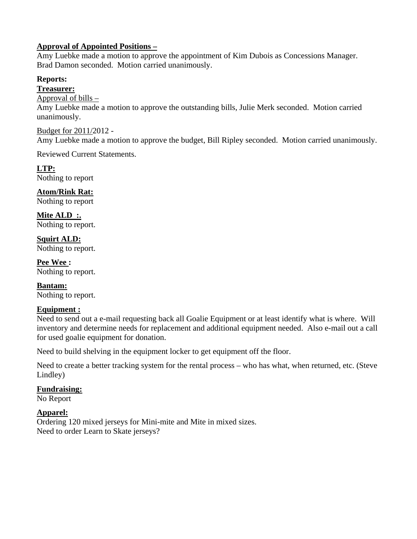## **Approval of Appointed Positions –**

Amy Luebke made a motion to approve the appointment of Kim Dubois as Concessions Manager. Brad Damon seconded. Motion carried unanimously.

## **Reports:**

**Treasurer:** 

#### Approval of bills –

Amy Luebke made a motion to approve the outstanding bills, Julie Merk seconded. Motion carried unanimously.

Budget for 2011/2012 - Amy Luebke made a motion to approve the budget, Bill Ripley seconded. Motion carried unanimously.

Reviewed Current Statements.

**LTP:**  Nothing to report

**Atom/Rink Rat:**  Nothing to report

**Mite ALD :.**  Nothing to report.

**Squirt ALD:**  Nothing to report.

**Pee Wee :**  Nothing to report.

**Bantam:**  Nothing to report.

# **Equipment :**

Need to send out a e-mail requesting back all Goalie Equipment or at least identify what is where. Will inventory and determine needs for replacement and additional equipment needed. Also e-mail out a call for used goalie equipment for donation.

Need to build shelving in the equipment locker to get equipment off the floor.

Need to create a better tracking system for the rental process – who has what, when returned, etc. (Steve Lindley)

# **Fundraising:**

No Report

**Apparel:**  Ordering 120 mixed jerseys for Mini-mite and Mite in mixed sizes. Need to order Learn to Skate jerseys?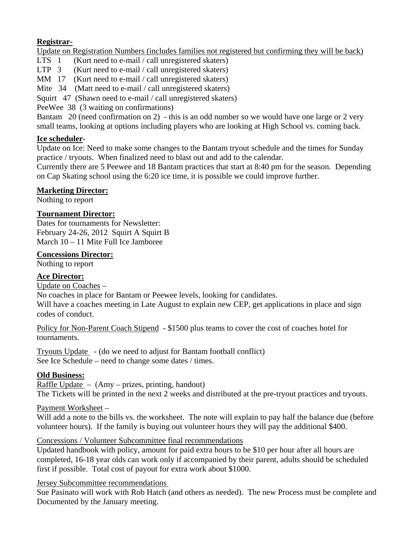## **Registrar-**

Update on Registration Numbers (includes families not registered but confirming they will be back)<br>LTS 1 (Kurt need to e-mail / call unregistered skaters)

- $Kurt need to e-mail / call unregistered skaters)$
- LTP 3 (Kurt need to e-mail / call unregistered skaters)
- MM 17 (Kurt need to e-mail / call unregistered skaters)
- Mite 34 (Matt need to e-mail / call unregistered skaters)

Squirt 47 (Shawn need to e-mail / call unregistered skaters)

PeeWee 38 (3 waiting on confirmations)

Bantam 20 (need confirmation on 2) - this is an odd number so we would have one large or 2 very small teams, looking at options including players who are looking at High School vs. coming back.

## **Ice scheduler-**

Update on Ice: Need to make some changes to the Bantam tryout schedule and the times for Sunday practice / tryouts. When finalized need to blast out and add to the calendar.

Currently there are 5 Peewee and 18 Bantam practices that start at 8:40 pm for the season. Depending on Cap Skating school using the 6:20 ice time, it is possible we could improve further.

## **Marketing Director:**

Nothing to report

## **Tournament Director:**

Dates for tournaments for Newsletter: February 24-26, 2012 Squirt A Squirt B March 10 – 11 Mite Full Ice Jamboree

## **Concessions Director:**

Nothing to report

# **Ace Director:**

Update on Coaches –

No coaches in place for Bantam or Peewee levels, looking for candidates.

Will have a coaches meeting in Late August to explain new CEP, get applications in place and sign codes of conduct.

Policy for Non-Parent Coach Stipend - \$1500 plus teams to cover the cost of coaches hotel for tournaments.

Tryouts Update - (do we need to adjust for Bantam football conflict) See Ice Schedule – need to change some dates / times.

# **Old Business:**

Raffle Update – (Amy – prizes, printing, handout) The Tickets will be printed in the next 2 weeks and distributed at the pre-tryout practices and tryouts.

## Payment Worksheet –

Will add a note to the bills vs. the worksheet. The note will explain to pay half the balance due (before volunteer hours). If the family is buying out volunteer hours they will pay the additional \$400.

## Concessions / Volunteer Subcommittee final recommendations

Updated handbook with policy, amount for paid extra hours to be \$10 per hour after all hours are completed, 16-18 year olds can work only if accompanied by their parent, adults should be scheduled first if possible. Total cost of payout for extra work about \$1000.

## Jersey Subcommittee recommendations

Sue Pasinato will work with Rob Hatch (and others as needed). The new Process must be complete and Documented by the January meeting.